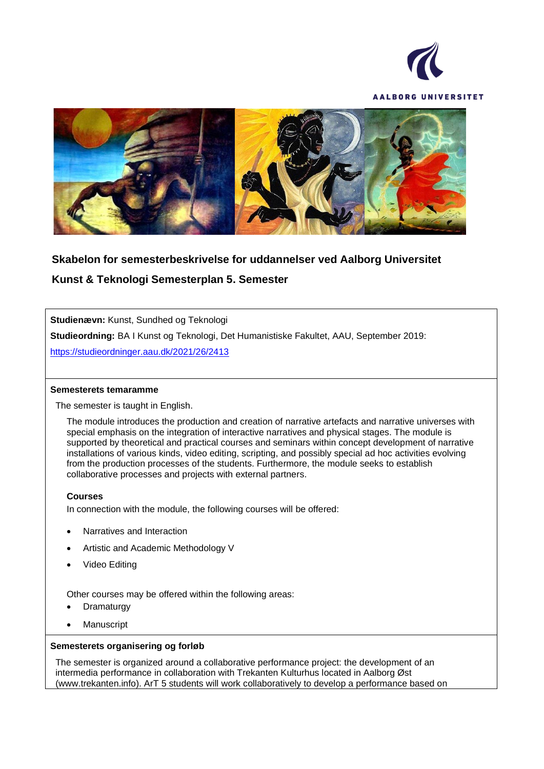



# **Skabelon for semesterbeskrivelse for uddannelser ved Aalborg Universitet**

**Kunst & Teknologi Semesterplan 5. Semester**

**Studienævn:** Kunst, Sundhed og Teknologi

**Studieordning:** BA I Kunst og Teknologi, Det Humanistiske Fakultet, AAU, September 2019:

<https://studieordninger.aau.dk/2021/26/2413>

#### **Semesterets temaramme**

The semester is taught in English.

The module introduces the production and creation of narrative artefacts and narrative universes with special emphasis on the integration of interactive narratives and physical stages. The module is supported by theoretical and practical courses and seminars within concept development of narrative installations of various kinds, video editing, scripting, and possibly special ad hoc activities evolving from the production processes of the students. Furthermore, the module seeks to establish collaborative processes and projects with external partners.

#### **Courses**

In connection with the module, the following courses will be offered:

- Narratives and Interaction
- Artistic and Academic Methodology V
- Video Editing

Other courses may be offered within the following areas:

- **Dramaturgy**
- **Manuscript**

#### **Semesterets organisering og forløb**

The semester is organized around a collaborative performance project: the development of an intermedia performance in collaboration with Trekanten Kulturhus located in Aalborg Øst (www.trekanten.info). ArT 5 students will work collaboratively to develop a performance based on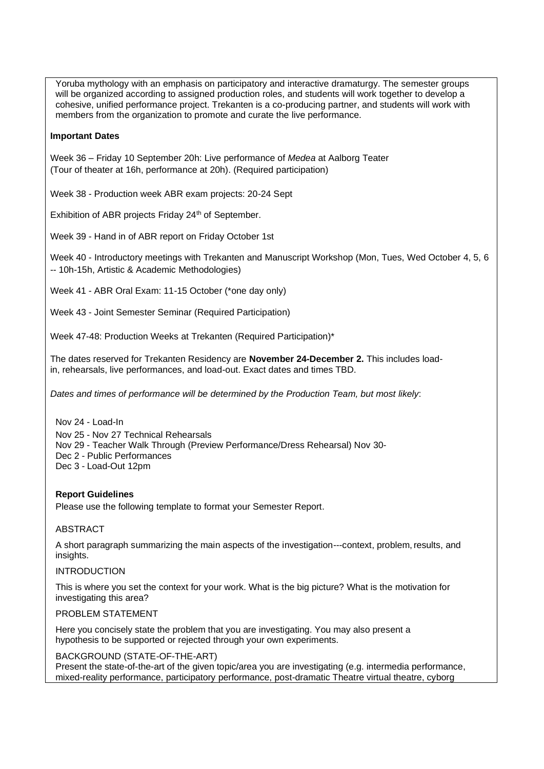Yoruba mythology with an emphasis on participatory and interactive dramaturgy. The semester groups will be organized according to assigned production roles, and students will work together to develop a cohesive, unified performance project. Trekanten is a co-producing partner, and students will work with members from the organization to promote and curate the live performance.

## **Important Dates**

Week 36 – Friday 10 September 20h: Live performance of *Medea* at Aalborg Teater (Tour of theater at 16h, performance at 20h). (Required participation)

Week 38 - Production week ABR exam projects: 20-24 Sept

Exhibition of ABR projects Friday 24<sup>th</sup> of September.

Week 39 - Hand in of ABR report on Friday October 1st

Week 40 - Introductory meetings with Trekanten and Manuscript Workshop (Mon, Tues, Wed October 4, 5, 6 -- 10h-15h, Artistic & Academic Methodologies)

Week 41 - ABR Oral Exam: 11-15 October (\*one day only)

Week 43 - Joint Semester Seminar (Required Participation)

Week 47-48: Production Weeks at Trekanten (Required Participation)\*

The dates reserved for Trekanten Residency are **November 24-December 2.** This includes loadin, rehearsals, live performances, and load-out. Exact dates and times TBD.

*Dates and times of performance will be determined by the Production Team, but most likely*:

Nov 24 - Load-In Nov 25 - Nov 27 Technical Rehearsals Nov 29 - Teacher Walk Through (Preview Performance/Dress Rehearsal) Nov 30- Dec 2 - Public Performances Dec 3 - Load-Out 12pm

## **Report Guidelines**

Please use the following template to format your Semester Report.

## ABSTRACT

A short paragraph summarizing the main aspects of the investigation---context, problem, results, and insights.

# INTRODUCTION

This is where you set the context for your work. What is the big picture? What is the motivation for investigating this area?

## PROBLEM STATEMENT

Here you concisely state the problem that you are investigating. You may also present a hypothesis to be supported or rejected through your own experiments.

## BACKGROUND (STATE-OF-THE-ART)

Present the state-of-the-art of the given topic/area you are investigating (e.g. intermedia performance, mixed-reality performance, participatory performance, post-dramatic Theatre virtual theatre, cyborg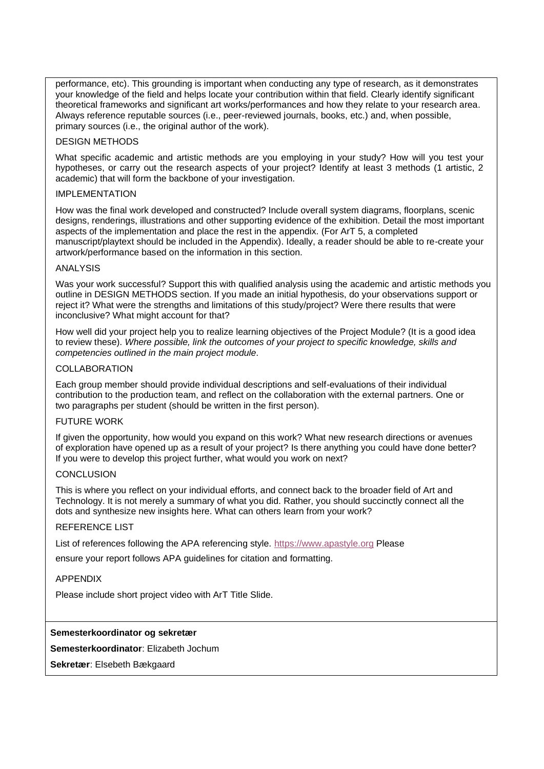performance, etc). This grounding is important when conducting any type of research, as it demonstrates your knowledge of the field and helps locate your contribution within that field. Clearly identify significant theoretical frameworks and significant art works/performances and how they relate to your research area. Always reference reputable sources (i.e., peer-reviewed journals, books, etc.) and, when possible, primary sources (i.e., the original author of the work).

#### DESIGN METHODS

What specific academic and artistic methods are you employing in your study? How will you test your hypotheses, or carry out the research aspects of your project? Identify at least 3 methods (1 artistic, 2 academic) that will form the backbone of your investigation.

#### IMPLEMENTATION

How was the final work developed and constructed? Include overall system diagrams, floorplans, scenic designs, renderings, illustrations and other supporting evidence of the exhibition. Detail the most important aspects of the implementation and place the rest in the appendix. (For ArT 5, a completed manuscript/playtext should be included in the Appendix). Ideally, a reader should be able to re-create your artwork/performance based on the information in this section.

#### ANALYSIS

Was your work successful? Support this with qualified analysis using the academic and artistic methods you outline in DESIGN METHODS section. If you made an initial hypothesis, do your observations support or reject it? What were the strengths and limitations of this study/project? Were there results that were inconclusive? What might account for that?

How well did your project help you to realize learning objectives of the Project Module? (It is a good idea to review these). *Where possible, link the outcomes of your project to specific knowledge, skills and competencies outlined in the main project module*.

#### COLLABORATION

Each group member should provide individual descriptions and self-evaluations of their individual contribution to the production team, and reflect on the collaboration with the external partners. One or two paragraphs per student (should be written in the first person).

#### FUTURE WORK

If given the opportunity, how would you expand on this work? What new research directions or avenues of exploration have opened up as a result of your project? Is there anything you could have done better? If you were to develop this project further, what would you work on next?

## **CONCLUSION**

This is where you reflect on your individual efforts, and connect back to the broader field of Art and Technology. It is not merely a summary of what you did. Rather, you should succinctly connect all the dots and synthesize new insights here. What can others learn from your work?

## REFERENCE LIST

List of references following the APA referencing style. https:/[/www.apastyle.org](http://www.apastyle.org/) Please

ensure your report follows APA guidelines for citation and formatting.

#### APPENDIX

Please include short project video with ArT Title Slide.

## **Semesterkoordinator og sekretær**

**Semesterkoordinator**: Elizabeth Jochum

**Sekretær**: Elsebeth Bækgaard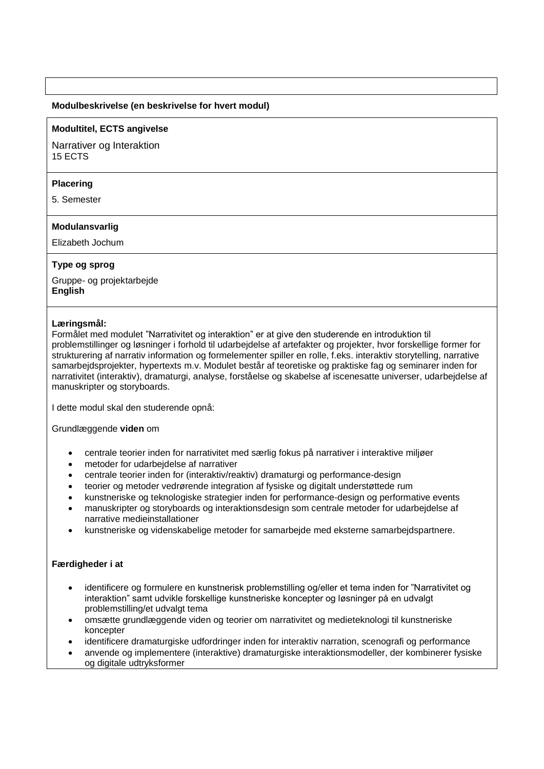#### **Modulbeskrivelse (en beskrivelse for hvert modul)**

#### **Modultitel, ECTS angivelse**

Narrativer og Interaktion 15 ECTS

#### **Placering**

5. Semester

#### **Modulansvarlig**

Elizabeth Jochum

## **Type og sprog**

Gruppe- og projektarbejde **English**

#### **Læringsmål:**

Formålet med modulet "Narrativitet og interaktion" er at give den studerende en introduktion til problemstillinger og løsninger i forhold til udarbejdelse af artefakter og projekter, hvor forskellige former for strukturering af narrativ information og formelementer spiller en rolle, f.eks. interaktiv storytelling, narrative samarbejdsprojekter, hypertexts m.v. Modulet består af teoretiske og praktiske fag og seminarer inden for narrativitet (interaktiv), dramaturgi, analyse, forståelse og skabelse af iscenesatte universer, udarbejdelse af manuskripter og storyboards.

I dette modul skal den studerende opnå:

Grundlæggende **viden** om

- centrale teorier inden for narrativitet med særlig fokus på narrativer i interaktive miljøer
- metoder for udarbejdelse af narrativer
- centrale teorier inden for (interaktiv/reaktiv) dramaturgi og performance-design
- teorier og metoder vedrørende integration af fysiske og digitalt understøttede rum
- kunstneriske og teknologiske strategier inden for performance-design og performative events
- manuskripter og storyboards og interaktionsdesign som centrale metoder for udarbejdelse af narrative medieinstallationer
- kunstneriske og videnskabelige metoder for samarbejde med eksterne samarbejdspartnere.

## **Færdigheder i at**

- identificere og formulere en kunstnerisk problemstilling og/eller et tema inden for "Narrativitet og interaktion" samt udvikle forskellige kunstneriske koncepter og løsninger på en udvalgt problemstilling/et udvalgt tema
- omsætte grundlæggende viden og teorier om narrativitet og medieteknologi til kunstneriske koncepter
- identificere dramaturgiske udfordringer inden for interaktiv narration, scenografi og performance
- anvende og implementere (interaktive) dramaturgiske interaktionsmodeller, der kombinerer fysiske og digitale udtryksformer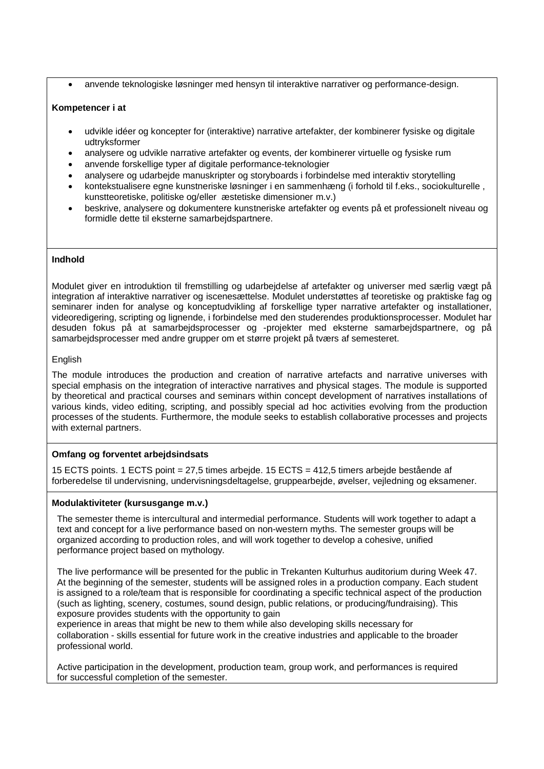• anvende teknologiske løsninger med hensyn til interaktive narrativer og performance-design.

## **Kompetencer i at**

- udvikle idéer og koncepter for (interaktive) narrative artefakter, der kombinerer fysiske og digitale udtryksformer
- analysere og udvikle narrative artefakter og events, der kombinerer virtuelle og fysiske rum
- anvende forskellige typer af digitale performance-teknologier
- analysere og udarbejde manuskripter og storyboards i forbindelse med interaktiv storytelling
- kontekstualisere egne kunstneriske løsninger i en sammenhæng (i forhold til f.eks., sociokulturelle , kunstteoretiske, politiske og/eller æstetiske dimensioner m.v.)
- beskrive, analysere og dokumentere kunstneriske artefakter og events på et professionelt niveau og formidle dette til eksterne samarbejdspartnere.

## **Indhold**

Modulet giver en introduktion til fremstilling og udarbejdelse af artefakter og universer med særlig vægt på integration af interaktive narrativer og iscenesættelse. Modulet understøttes af teoretiske og praktiske fag og seminarer inden for analyse og konceptudvikling af forskellige typer narrative artefakter og installationer, videoredigering, scripting og lignende, i forbindelse med den studerendes produktionsprocesser. Modulet har desuden fokus på at samarbejdsprocesser og -projekter med eksterne samarbejdspartnere, og på samarbejdsprocesser med andre grupper om et større projekt på tværs af semesteret.

#### English

The module introduces the production and creation of narrative artefacts and narrative universes with special emphasis on the integration of interactive narratives and physical stages. The module is supported by theoretical and practical courses and seminars within concept development of narratives installations of various kinds, video editing, scripting, and possibly special ad hoc activities evolving from the production processes of the students. Furthermore, the module seeks to establish collaborative processes and projects with external partners.

# **Omfang og forventet arbejdsindsats**

15 ECTS points. 1 ECTS point = 27,5 times arbejde. 15 ECTS = 412,5 timers arbejde bestående af forberedelse til undervisning, undervisningsdeltagelse, gruppearbejde, øvelser, vejledning og eksamener.

#### **Modulaktiviteter (kursusgange m.v.)**

The semester theme is intercultural and intermedial performance. Students will work together to adapt a text and concept for a live performance based on non-western myths. The semester groups will be organized according to production roles, and will work together to develop a cohesive, unified performance project based on mythology*.*

The live performance will be presented for the public in Trekanten Kulturhus auditorium during Week 47. At the beginning of the semester, students will be assigned roles in a production company. Each student is assigned to a role/team that is responsible for coordinating a specific technical aspect of the production (such as lighting, scenery, costumes, sound design, public relations, or producing/fundraising). This exposure provides students with the opportunity to gain

experience in areas that might be new to them while also developing skills necessary for collaboration - skills essential for future work in the creative industries and applicable to the broader professional world.

Active participation in the development, production team, group work, and performances is required for successful completion of the semester.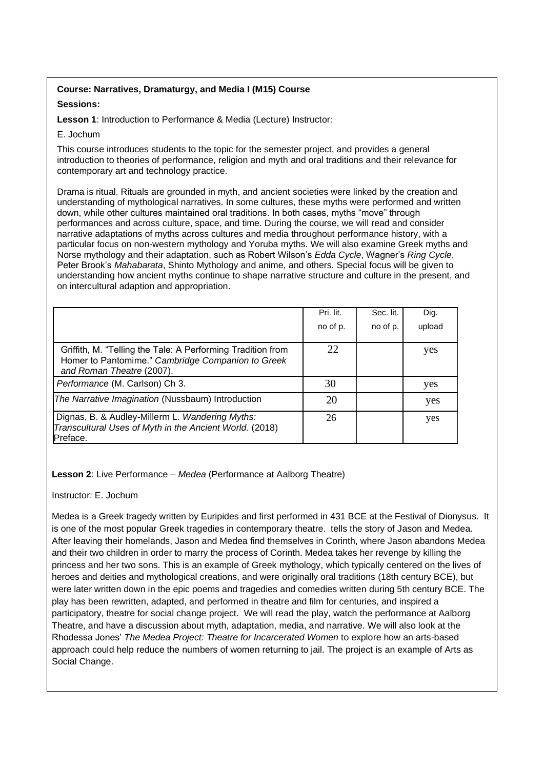# **Course: Narratives, Dramaturgy, and Media I (M15) Course**

## **Sessions:**

**Lesson 1**: Introduction to Performance & Media (Lecture) Instructor:

## E. Jochum

This course introduces students to the topic for the semester project, and provides a general introduction to theories of performance, religion and myth and oral traditions and their relevance for contemporary art and technology practice.

Drama is ritual. Rituals are grounded in myth, and ancient societies were linked by the creation and understanding of mythological narratives. In some cultures, these myths were performed and written down, while other cultures maintained oral traditions. In both cases, myths "move" through performances and across culture, space, and time. During the course, we will read and consider narrative adaptations of myths across cultures and media throughout performance history, with a particular focus on non-western mythology and Yoruba myths. We will also examine Greek myths and Norse mythology and their adaptation, such as Robert Wilson's *Edda Cycle*, Wagner's *Ring Cycle*, Peter Brook's *Mahabarata*, Shinto Mythology and anime, and others. Special focus will be given to understanding how ancient myths continue to shape narrative structure and culture in the present, and on intercultural adaption and appropriation.

|                                                                                                                                               | Pri. lit. | Sec. lit. | Dig.   |
|-----------------------------------------------------------------------------------------------------------------------------------------------|-----------|-----------|--------|
|                                                                                                                                               | no of p.  | no of p.  | upload |
| Griffith, M. "Telling the Tale: A Performing Tradition from<br>Homer to Pantomime." Cambridge Companion to Greek<br>and Roman Theatre (2007). | 22        |           | yes    |
| Performance (M. Carlson) Ch 3.                                                                                                                | 30        |           | yes    |
| The Narrative Imagination (Nussbaum) Introduction                                                                                             | 20        |           | yes    |
| Dignas, B. & Audley-Millerm L. Wandering Myths:<br>Transcultural Uses of Myth in the Ancient World. (2018)<br>Preface.                        | 26        |           | yes    |

**Lesson 2**: Live Performance – *Medea* (Performance at Aalborg Theatre)

# Instructor: E. Jochum

Medea is a Greek tragedy written by Euripides and first performed in 431 BCE at the Festival of Dionysus. It is one of the most popular Greek tragedies in contemporary theatre. tells the story of Jason and Medea. After leaving their homelands, Jason and Medea find themselves in Corinth, where Jason abandons Medea and their two children in order to marry the process of Corinth. Medea takes her revenge by killing the princess and her two sons. This is an example of Greek mythology, which typically centered on the lives of heroes and deities and mythological creations, and were originally oral traditions (18th century BCE), but were later written down in the epic poems and tragedies and comedies written during 5th century BCE. The play has been rewritten, adapted, and performed in theatre and film for centuries, and inspired a participatory, theatre for social change project. We will read the play, watch the performance at Aalborg Theatre, and have a discussion about myth, adaptation, media, and narrative. We will also look at the Rhodessa Jones' *The Medea Project: Theatre for Incarcerated Women* to explore how an arts-based approach could help reduce the numbers of women returning to jail. The project is an example of Arts as Social Change.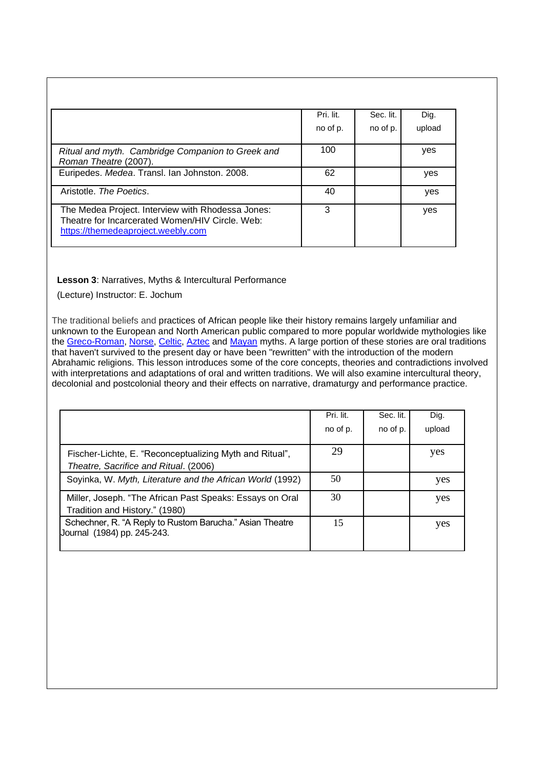|                                                                                                                                            | Pri. lit. | Sec. lit. | Dig.   |
|--------------------------------------------------------------------------------------------------------------------------------------------|-----------|-----------|--------|
|                                                                                                                                            | no of p.  | no of p.  | upload |
| Ritual and myth. Cambridge Companion to Greek and<br>Roman Theatre (2007).                                                                 | 100       |           | yes    |
| Euripedes. Medea. Transl. Ian Johnston. 2008.                                                                                              | 62        |           | yes    |
| Aristotle. The Poetics.                                                                                                                    | 40        |           | yes    |
| The Medea Project. Interview with Rhodessa Jones:<br>Theatre for Incarcerated Women/HIV Circle, Web:<br>https://themedeaproject.weebly.com | 3         |           | yes    |

# **Lesson 3**: Narratives, Myths & Intercultural Performance

(Lecture) Instructor: E. Jochum

The traditional beliefs and practices of African people like their history remains largely unfamiliar and unknown to the European and North American public compared to more popular worldwide mythologies like the [Greco-Roman,](https://tvtropes.org/pmwiki/pmwiki.php/Myth/ClassicalMythology) [Norse,](https://tvtropes.org/pmwiki/pmwiki.php/Myth/NorseMythology) [Celtic,](https://tvtropes.org/pmwiki/pmwiki.php/Myth/CelticMythology) [Aztec](https://tvtropes.org/pmwiki/pmwiki.php/Myth/AztecMythology) and [Mayan](https://tvtropes.org/pmwiki/pmwiki.php/Myth/MayanMythology) myths. A large portion of these stories are oral traditions that haven't survived to the present day or have been "rewritten" with the introduction of the modern Abrahamic religions. This lesson introduces some of the core concepts, theories and contradictions involved with interpretations and adaptations of oral and written traditions. We will also examine intercultural theory, decolonial and postcolonial theory and their effects on narrative, dramaturgy and performance practice.

|                                                                                                  | Pri. lit. | Sec. lit. | Dig.   |
|--------------------------------------------------------------------------------------------------|-----------|-----------|--------|
|                                                                                                  | no of p.  | no of p.  | upload |
| Fischer-Lichte, E. "Reconceptualizing Myth and Ritual",<br>Theatre, Sacrifice and Ritual. (2006) | 29        |           | yes    |
| Soyinka, W. Myth, Literature and the African World (1992)                                        | 50        |           | yes    |
| Miller, Joseph. "The African Past Speaks: Essays on Oral<br>Tradition and History." (1980)       | 30        |           | yes    |
| Schechner, R. "A Reply to Rustom Barucha." Asian Theatre<br>Journal (1984) pp. 245-243.          | 15        |           | yes    |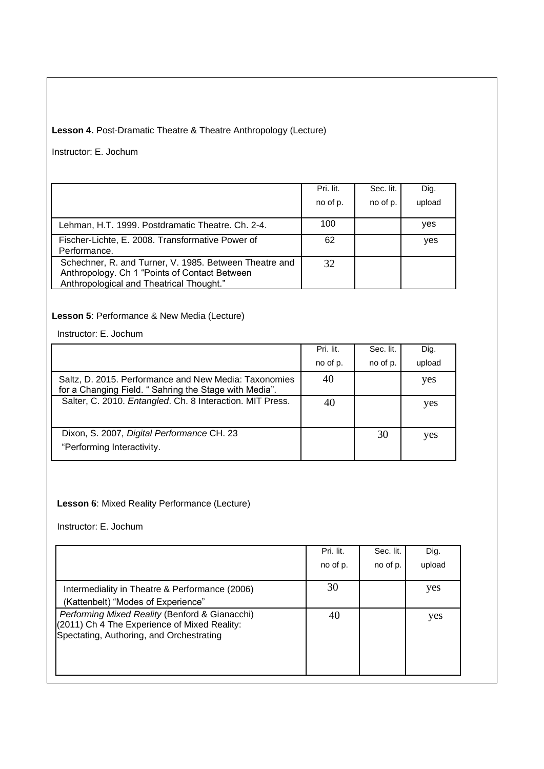# **Lesson 4.** Post-Dramatic Theatre & Theatre Anthropology (Lecture)

Instructor: E. Jochum

|                                                                                                                                                     | Pri. lit. | Sec. lit. | Dig.   |
|-----------------------------------------------------------------------------------------------------------------------------------------------------|-----------|-----------|--------|
|                                                                                                                                                     | no of p.  | no of p.  | upload |
| Lehman, H.T. 1999. Postdramatic Theatre. Ch. 2-4.                                                                                                   | 100       |           | ves    |
| Fischer-Lichte, E. 2008. Transformative Power of<br>Performance.                                                                                    | 62        |           | yes    |
| Schechner, R. and Turner, V. 1985. Between Theatre and<br>Anthropology. Ch 1 "Points of Contact Between<br>Anthropological and Theatrical Thought." | 32        |           |        |

# **Lesson 5**: Performance & New Media (Lecture)

Instructor: E. Jochum

|                                                                                                                | Pri. lit. | Sec. lit. | Dig.   |
|----------------------------------------------------------------------------------------------------------------|-----------|-----------|--------|
|                                                                                                                | no of p.  | no of p.  | upload |
| Saltz, D. 2015. Performance and New Media: Taxonomies<br>for a Changing Field. "Sahring the Stage with Media". | 40        |           | yes    |
| Salter, C. 2010. Entangled. Ch. 8 Interaction. MIT Press.                                                      | 40        |           | yes    |
| Dixon, S. 2007, Digital Performance CH. 23<br>"Performing Interactivity.                                       |           | 30        | yes    |

# **Lesson 6**: Mixed Reality Performance (Lecture)

Instructor: E. Jochum

|                                                                                                                                            | Pri. lit.<br>no of p. | Sec. lit.<br>no of p. | Dig.<br>upload |
|--------------------------------------------------------------------------------------------------------------------------------------------|-----------------------|-----------------------|----------------|
| Intermediality in Theatre & Performance (2006)<br>(Kattenbelt) "Modes of Experience"                                                       | 30                    |                       | yes            |
| Performing Mixed Reality (Benford & Gianacchi)<br>(2011) Ch 4 The Experience of Mixed Reality:<br>Spectating, Authoring, and Orchestrating | 40                    |                       | yes            |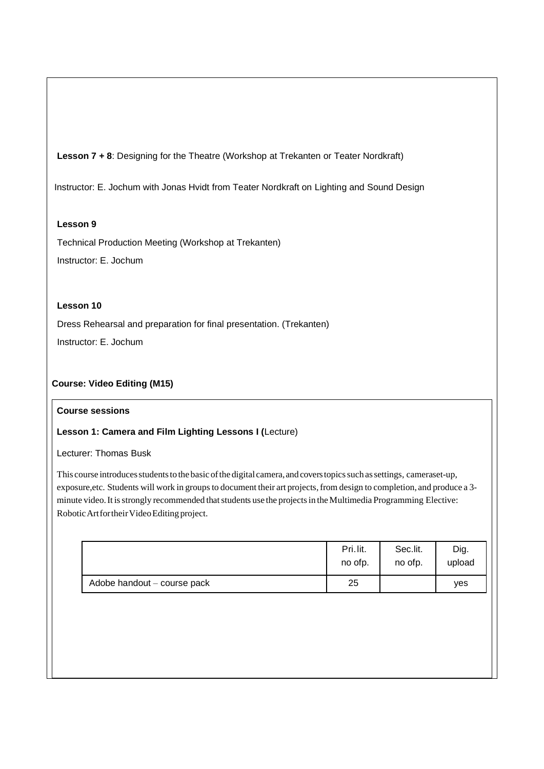**Lesson 7 + 8**: Designing for the Theatre (Workshop at Trekanten or Teater Nordkraft)

Instructor: E. Jochum with Jonas Hvidt from Teater Nordkraft on Lighting and Sound Design

# **Lesson 9**

Technical Production Meeting (Workshop at Trekanten) Instructor: E. Jochum

# **Lesson 10**

Dress Rehearsal and preparation for final presentation. (Trekanten) Instructor: E. Jochum

# **Course: Video Editing (M15)**

## **Course sessions**

# **Lesson 1: Camera and Film Lighting Lessons I (**Lecture)

Lecturer: Thomas Busk

This course introduces students to the basic of the digital camera, and covers topics such as settings, cameraset-up, exposure,etc. Students will work in groups to document their art projects, from design to completion, and produce a 3minute video. It is strongly recommended that students use the projects in the Multimedia Programming Elective: Robotic Art for their Video Editing project.

|                             | Pri.lit. | Sec.lit. | Dig.   |
|-----------------------------|----------|----------|--------|
|                             | no ofp.  | no ofp.  | upload |
| Adobe handout - course pack | 25       |          | ves    |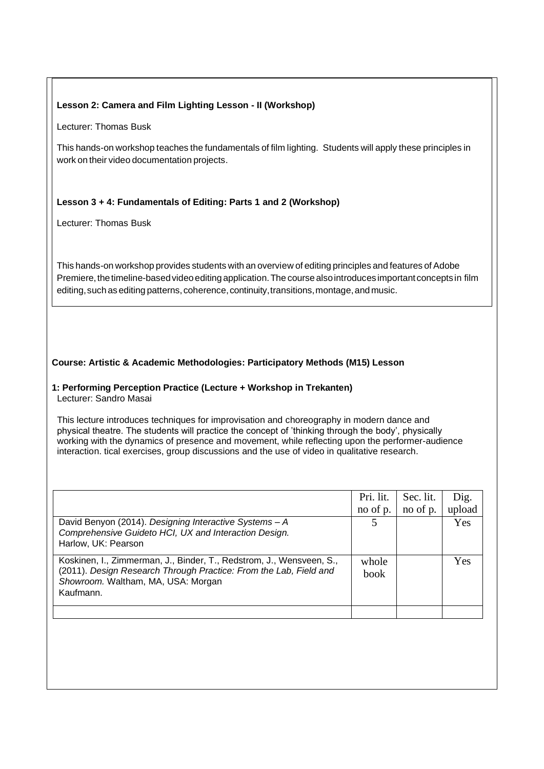# **Lesson 2: Camera and Film Lighting Lesson - II (Workshop)**

Lecturer: Thomas Busk

This hands-on workshop teaches the fundamentals of film lighting. Students will apply these principles in work on their video documentation projects.

# **Lesson 3 + 4: Fundamentals of Editing: Parts 1 and 2 (Workshop)**

Lecturer: Thomas Busk

This hands-on workshop provides students with an overview of editing principles and features of Adobe Premiere, the timeline-based video editing application. The course also introduces important concepts in film editing, such as editing patterns, coherence, continuity, transitions, montage, and music.

# **Course: Artistic & Academic Methodologies: Participatory Methods (M15) Lesson**

# **1: Performing Perception Practice (Lecture + Workshop in Trekanten)**

Lecturer: Sandro Masai

This lecture introduces techniques for improvisation and choreography in modern dance and physical theatre. The students will practice the concept of 'thinking through the body', physically working with the dynamics of presence and movement, while reflecting upon the performer-audience interaction. tical exercises, group discussions and the use of video in qualitative research.

|                                                                                                                                                                                              | Pri. lit.<br>no of p. | Sec. lit.<br>no of p. | Dig.<br>upload |
|----------------------------------------------------------------------------------------------------------------------------------------------------------------------------------------------|-----------------------|-----------------------|----------------|
| David Benyon (2014). Designing Interactive Systems - A<br>Comprehensive Guideto HCI, UX and Interaction Design.<br>Harlow, UK: Pearson                                                       |                       |                       | <b>Yes</b>     |
| Koskinen, I., Zimmerman, J., Binder, T., Redstrom, J., Wensveen, S.,<br>(2011). Design Research Through Practice: From the Lab, Field and<br>Showroom. Waltham, MA, USA: Morgan<br>Kaufmann. | whole<br>book         |                       | <b>Yes</b>     |
|                                                                                                                                                                                              |                       |                       |                |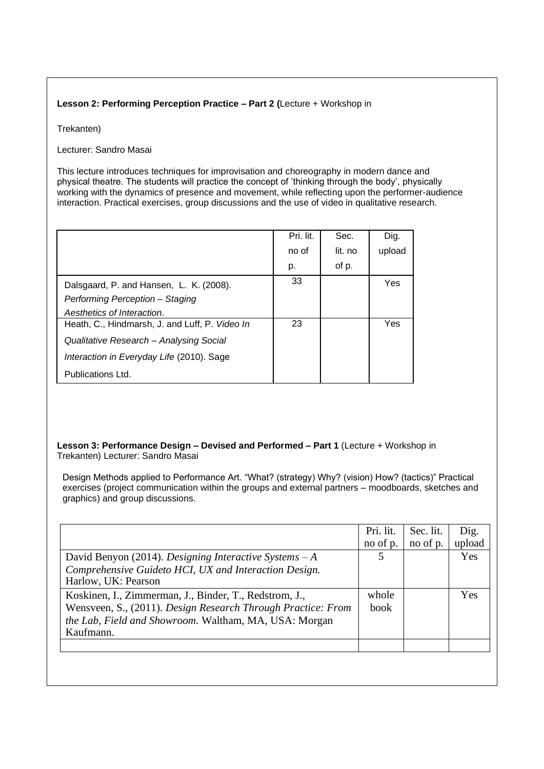# **Lesson 2: Performing Perception Practice – Part 2 (**Lecture + Workshop in

Trekanten)

Lecturer: Sandro Masai

This lecture introduces techniques for improvisation and choreography in modern dance and physical theatre. The students will practice the concept of 'thinking through the body', physically working with the dynamics of presence and movement, while reflecting upon the performer-audience interaction. Practical exercises, group discussions and the use of video in qualitative research.

|                                                | Pri. lit. | Sec.    | Dig.   |
|------------------------------------------------|-----------|---------|--------|
|                                                | no of     | lit. no | upload |
|                                                | p.        | of p.   |        |
| Dalsgaard, P. and Hansen, L. K. (2008).        | 33        |         | Yes    |
| Performing Perception - Staging                |           |         |        |
| Aesthetics of Interaction.                     |           |         |        |
| Heath, C., Hindmarsh, J. and Luff, P. Video In | 23        |         | Yes    |
| Qualitative Research - Analysing Social        |           |         |        |
| Interaction in Everyday Life (2010). Sage      |           |         |        |
| Publications Ltd.                              |           |         |        |

## **Lesson 3: Performance Design – Devised and Performed – Part 1** (Lecture + Workshop in Trekanten) Lecturer: Sandro Masai

Design Methods applied to Performance Art. "What? (strategy) Why? (vision) How? (tactics)" Practical exercises (project communication within the groups and external partners – moodboards, sketches and graphics) and group discussions.

| no of p.      | no of p. | upload     |
|---------------|----------|------------|
| 5             |          | <b>Yes</b> |
|               |          |            |
| whole<br>book |          | <b>Yes</b> |
|               |          |            |
|               |          |            |
|               |          |            |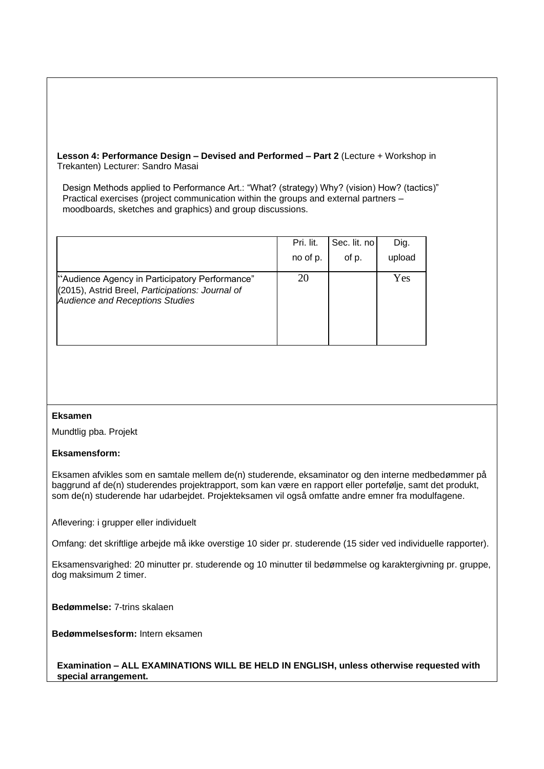**Lesson 4: Performance Design – Devised and Performed – Part 2** (Lecture + Workshop in Trekanten) Lecturer: Sandro Masai

Design Methods applied to Performance Art.: "What? (strategy) Why? (vision) How? (tactics)" Practical exercises (project communication within the groups and external partners – moodboards, sketches and graphics) and group discussions.

|                                                                                                                                              | Pri. lit. | Sec. lit. no | Dig.   |
|----------------------------------------------------------------------------------------------------------------------------------------------|-----------|--------------|--------|
|                                                                                                                                              | no of p.  | of p.        | upload |
| "Audience Agency in Participatory Performance"<br>(2015), Astrid Breel, Participations: Journal of<br><b>Audience and Receptions Studies</b> | 20        |              | Yes    |

## **Eksamen**

Mundtlig pba. Projekt

## **Eksamensform:**

Eksamen afvikles som en samtale mellem de(n) studerende, eksaminator og den interne medbedømmer på baggrund af de(n) studerendes projektrapport, som kan være en rapport eller portefølje, samt det produkt, som de(n) studerende har udarbejdet. Projekteksamen vil også omfatte andre emner fra modulfagene.

Aflevering: i grupper eller individuelt

Omfang: det skriftlige arbejde må ikke overstige 10 sider pr. studerende (15 sider ved individuelle rapporter).

Eksamensvarighed: 20 minutter pr. studerende og 10 minutter til bedømmelse og karaktergivning pr. gruppe, dog maksimum 2 timer.

**Bedømmelse:** 7-trins skalaen

**Bedømmelsesform:** Intern eksamen

**Examination – ALL EXAMINATIONS WILL BE HELD IN ENGLISH, unless otherwise requested with special arrangement.**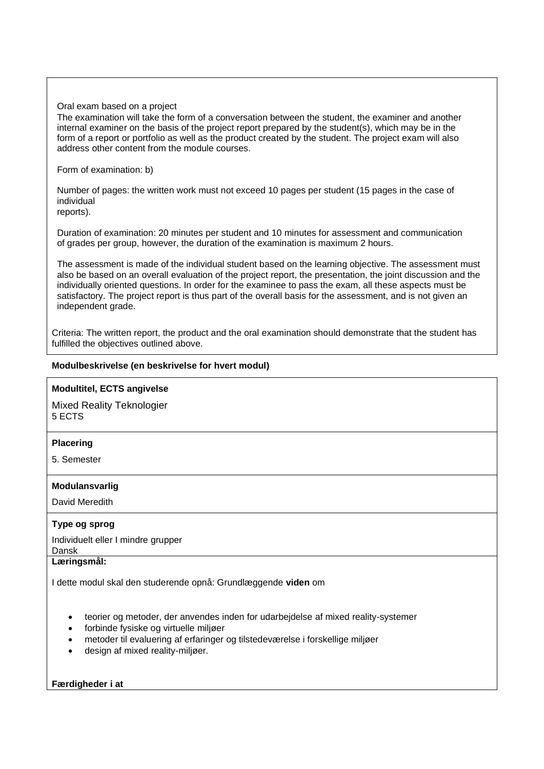#### Oral exam based on a project

The examination will take the form of a conversation between the student, the examiner and another internal examiner on the basis of the project report prepared by the student(s), which may be in the form of a report or portfolio as well as the product created by the student. The project exam will also address other content from the module courses.

#### Form of examination: b)

Number of pages: the written work must not exceed 10 pages per student (15 pages in the case of individual

reports).

Duration of examination: 20 minutes per student and 10 minutes for assessment and communication of grades per group, however, the duration of the examination is maximum 2 hours.

The assessment is made of the individual student based on the learning objective. The assessment must also be based on an overall evaluation of the project report, the presentation, the joint discussion and the individually oriented questions. In order for the examinee to pass the exam, all these aspects must be satisfactory. The project report is thus part of the overall basis for the assessment, and is not given an independent grade.

Criteria: The written report, the product and the oral examination should demonstrate that the student has fulfilled the objectives outlined above.

## **Modulbeskrivelse (en beskrivelse for hvert modul)**

#### **Modultitel, ECTS angivelse**

Mixed Reality Teknologier 5 ECTS

## **Placering**

5. Semester

## **Modulansvarlig**

David Meredith

## **Type og sprog**

Individuelt eller I mindre grupper Dansk

#### **Læringsmål:**

I dette modul skal den studerende opnå: Grundlæggende **viden** om

- teorier og metoder, der anvendes inden for udarbejdelse af mixed reality-systemer
- forbinde fysiske og virtuelle miljøer
- metoder til evaluering af erfaringer og tilstedeværelse i forskellige miljøer
- design af mixed reality-miljøer.

## **Færdigheder i at**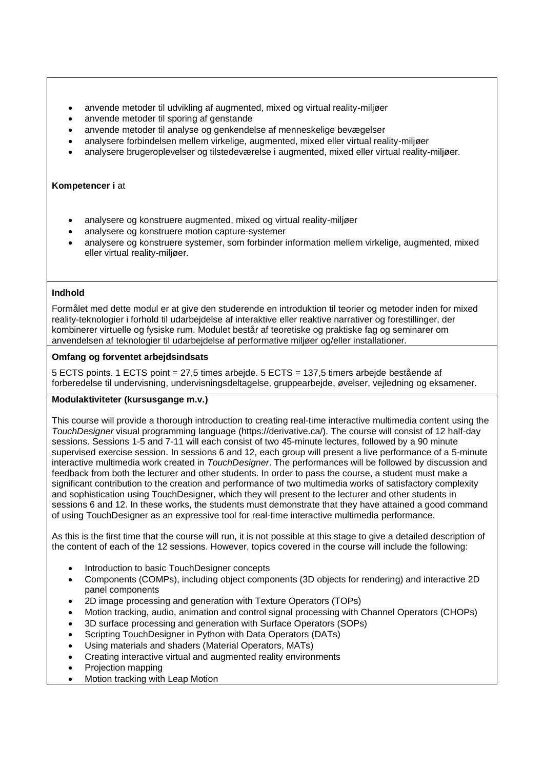- anvende metoder til udvikling af augmented, mixed og virtual reality-miljøer
- anvende metoder til sporing af genstande
- anvende metoder til analyse og genkendelse af menneskelige bevægelser
- analysere forbindelsen mellem virkelige, augmented, mixed eller virtual reality-miljøer
- analysere brugeroplevelser og tilstedeværelse i augmented, mixed eller virtual reality-miljøer.

#### **Kompetencer i** at

- analysere og konstruere augmented, mixed og virtual reality-miljøer
- analysere og konstruere motion capture-systemer
- analysere og konstruere systemer, som forbinder information mellem virkelige, augmented, mixed eller virtual reality-miljøer.

## **Indhold**

Formålet med dette modul er at give den studerende en introduktion til teorier og metoder inden for mixed reality-teknologier i forhold til udarbejdelse af interaktive eller reaktive narrativer og forestillinger, der kombinerer virtuelle og fysiske rum. Modulet består af teoretiske og praktiske fag og seminarer om anvendelsen af teknologier til udarbejdelse af performative miljøer og/eller installationer.

# **Omfang og forventet arbejdsindsats**

5 ECTS points. 1 ECTS point = 27,5 times arbejde. 5 ECTS = 137,5 timers arbejde bestående af forberedelse til undervisning, undervisningsdeltagelse, gruppearbejde, øvelser, vejledning og eksamener.

## **Modulaktiviteter (kursusgange m.v.)**

This course will provide a thorough introduction to creating real-time interactive multimedia content using the *TouchDesigner* visual programming language (https://derivative.ca/). The course will consist of 12 half-day sessions. Sessions 1-5 and 7-11 will each consist of two 45-minute lectures, followed by a 90 minute supervised exercise session. In sessions 6 and 12, each group will present a live performance of a 5-minute interactive multimedia work created in *TouchDesigner*. The performances will be followed by discussion and feedback from both the lecturer and other students. In order to pass the course, a student must make a significant contribution to the creation and performance of two multimedia works of satisfactory complexity and sophistication using TouchDesigner, which they will present to the lecturer and other students in sessions 6 and 12. In these works, the students must demonstrate that they have attained a good command of using TouchDesigner as an expressive tool for real-time interactive multimedia performance.

As this is the first time that the course will run, it is not possible at this stage to give a detailed description of the content of each of the 12 sessions. However, topics covered in the course will include the following:

- Introduction to basic TouchDesigner concepts
- Components (COMPs), including object components (3D objects for rendering) and interactive 2D panel components
- 2D image processing and generation with Texture Operators (TOPs)
- Motion tracking, audio, animation and control signal processing with Channel Operators (CHOPs)
- 3D surface processing and generation with Surface Operators (SOPs)
- Scripting TouchDesigner in Python with Data Operators (DATs)
- Using materials and shaders (Material Operators, MATs)
- Creating interactive virtual and augmented reality environments
- Projection mapping
- Motion tracking with Leap Motion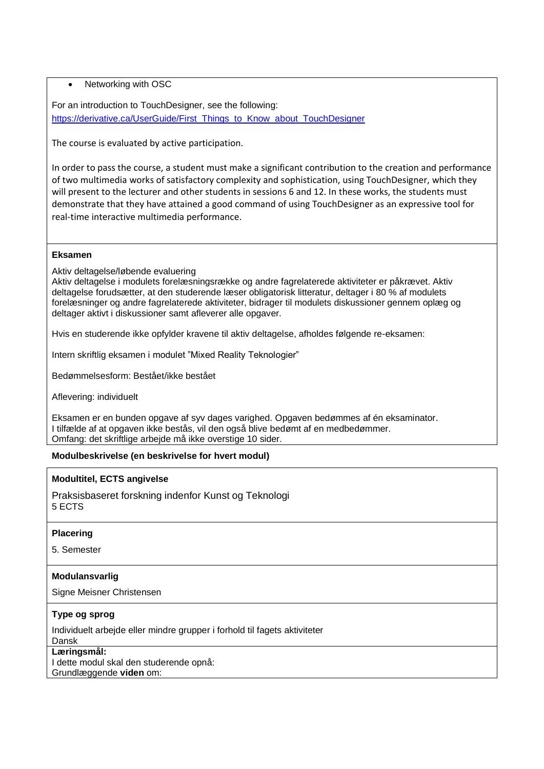# • Networking with OSC

For an introduction to TouchDesigner, see the following: [https://derivative.ca/UserGuide/First\\_Things\\_to\\_Know\\_about\\_TouchDesigner](https://derivative.ca/UserGuide/First_Things_to_Know_about_TouchDesigner)

The course is evaluated by active participation.

In order to pass the course, a student must make a significant contribution to the creation and performance of two multimedia works of satisfactory complexity and sophistication, using TouchDesigner, which they will present to the lecturer and other students in sessions 6 and 12. In these works, the students must demonstrate that they have attained a good command of using TouchDesigner as an expressive tool for real-time interactive multimedia performance.

# **Eksamen**

Aktiv deltagelse/løbende evaluering

Aktiv deltagelse i modulets forelæsningsrække og andre fagrelaterede aktiviteter er påkrævet. Aktiv deltagelse forudsætter, at den studerende læser obligatorisk litteratur, deltager i 80 % af modulets forelæsninger og andre fagrelaterede aktiviteter, bidrager til modulets diskussioner gennem oplæg og deltager aktivt i diskussioner samt afleverer alle opgaver.

Hvis en studerende ikke opfylder kravene til aktiv deltagelse, afholdes følgende re-eksamen:

Intern skriftlig eksamen i modulet "Mixed Reality Teknologier"

Bedømmelsesform: Bestået/ikke bestået

Aflevering: individuelt

Eksamen er en bunden opgave af syv dages varighed. Opgaven bedømmes af én eksaminator. I tilfælde af at opgaven ikke bestås, vil den også blive bedømt af en medbedømmer. Omfang: det skriftlige arbejde må ikke overstige 10 sider.

# **Modulbeskrivelse (en beskrivelse for hvert modul)**

## **Modultitel, ECTS angivelse**

Praksisbaseret forskning indenfor Kunst og Teknologi 5 ECTS

## **Placering**

5. Semester

# **Modulansvarlig**

Signe Meisner Christensen

# **Type og sprog**

Individuelt arbejde eller mindre grupper i forhold til fagets aktiviteter

# Dansk

**Læringsmål:**  I dette modul skal den studerende opnå: Grundlæggende **viden** om: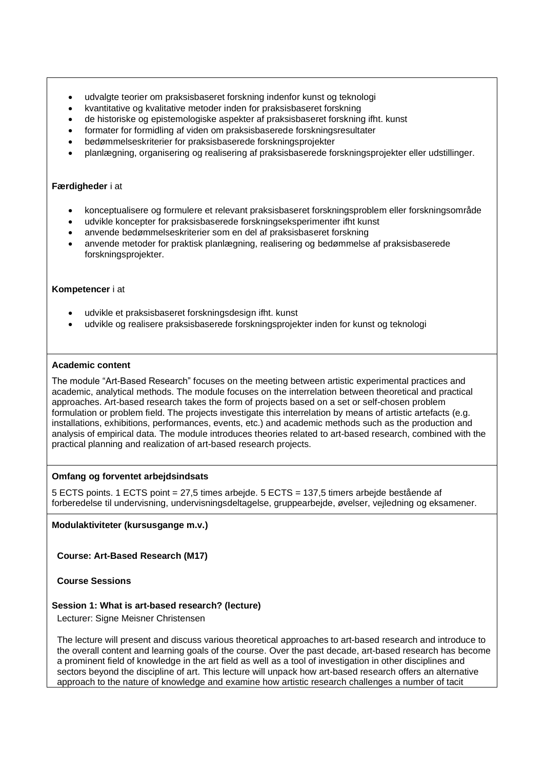- udvalgte teorier om praksisbaseret forskning indenfor kunst og teknologi
- kvantitative og kvalitative metoder inden for praksisbaseret forskning
- de historiske og epistemologiske aspekter af praksisbaseret forskning ifht. kunst
- formater for formidling af viden om praksisbaserede forskningsresultater
- bedømmelseskriterier for praksisbaserede forskningsprojekter
- planlægning, organisering og realisering af praksisbaserede forskningsprojekter eller udstillinger.

#### **Færdigheder** i at

- konceptualisere og formulere et relevant praksisbaseret forskningsproblem eller forskningsområde
- udvikle koncepter for praksisbaserede forskningseksperimenter ifht kunst
- anvende bedømmelseskriterier som en del af praksisbaseret forskning
- anvende metoder for praktisk planlægning, realisering og bedømmelse af praksisbaserede forskningsprojekter.

#### **Kompetencer** i at

- udvikle et praksisbaseret forskningsdesign ifht. kunst
- udvikle og realisere praksisbaserede forskningsprojekter inden for kunst og teknologi

#### **Academic content**

The module "Art-Based Research" focuses on the meeting between artistic experimental practices and academic, analytical methods. The module focuses on the interrelation between theoretical and practical approaches. Art-based research takes the form of projects based on a set or self-chosen problem formulation or problem field. The projects investigate this interrelation by means of artistic artefacts (e.g. installations, exhibitions, performances, events, etc.) and academic methods such as the production and analysis of empirical data. The module introduces theories related to art-based research, combined with the practical planning and realization of art-based research projects.

## **Omfang og forventet arbejdsindsats**

5 ECTS points. 1 ECTS point = 27,5 times arbejde. 5 ECTS = 137,5 timers arbejde bestående af forberedelse til undervisning, undervisningsdeltagelse, gruppearbejde, øvelser, vejledning og eksamener.

## **Modulaktiviteter (kursusgange m.v.)**

**Course: Art-Based Research (M17)** 

**Course Sessions**

## **Session 1: What is art-based research? (lecture)**

Lecturer: Signe Meisner Christensen

The lecture will present and discuss various theoretical approaches to art-based research and introduce to the overall content and learning goals of the course. Over the past decade, art-based research has become a prominent field of knowledge in the art field as well as a tool of investigation in other disciplines and sectors beyond the discipline of art. This lecture will unpack how art-based research offers an alternative approach to the nature of knowledge and examine how artistic research challenges a number of tacit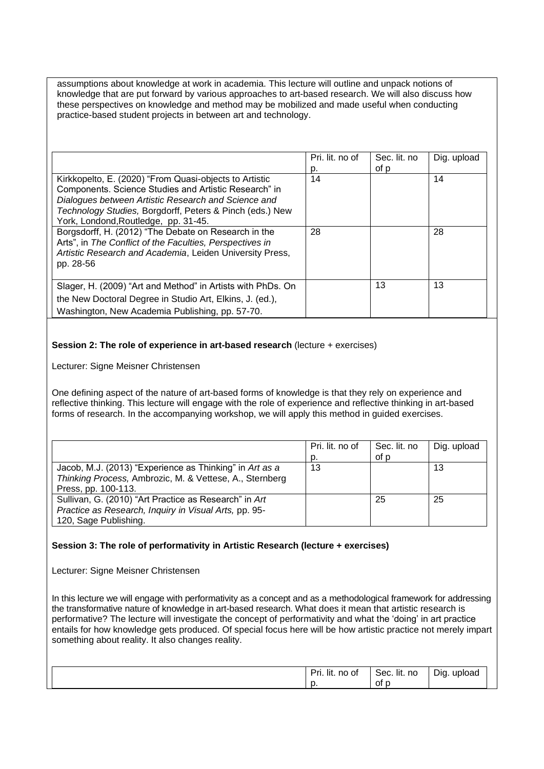assumptions about knowledge at work in academia. This lecture will outline and unpack notions of knowledge that are put forward by various approaches to art-based research. We will also discuss how these perspectives on knowledge and method may be mobilized and made useful when conducting practice-based student projects in between art and technology.

|                                                                                                                                                                                                                                                                            | Pri. lit. no of<br>p. | Sec. lit. no<br>of p | Dig. upload |
|----------------------------------------------------------------------------------------------------------------------------------------------------------------------------------------------------------------------------------------------------------------------------|-----------------------|----------------------|-------------|
| Kirkkopelto, E. (2020) "From Quasi-objects to Artistic<br>Components. Science Studies and Artistic Research" in<br>Dialogues between Artistic Research and Science and<br>Technology Studies, Borgdorff, Peters & Pinch (eds.) New<br>York, Londond, Routledge, pp. 31-45. | 14                    |                      | 14          |
| Borgsdorff, H. (2012) "The Debate on Research in the<br>Arts", in The Conflict of the Faculties, Perspectives in<br>Artistic Research and Academia, Leiden University Press,<br>pp. 28-56                                                                                  | 28                    |                      | 28          |
| Slager, H. (2009) "Art and Method" in Artists with PhDs. On<br>the New Doctoral Degree in Studio Art, Elkins, J. (ed.),<br>Washington, New Academia Publishing, pp. 57-70.                                                                                                 |                       | 13                   | 13          |

## **Session 2: The role of experience in art-based research** (lecture + exercises)

Lecturer: Signe Meisner Christensen

One defining aspect of the nature of art-based forms of knowledge is that they rely on experience and reflective thinking. This lecture will engage with the role of experience and reflective thinking in art-based forms of research. In the accompanying workshop, we will apply this method in guided exercises.

|                                                                                                                                           | Pri. lit. no of<br>p. | Sec. lit. no<br>of p | Dig. upload |
|-------------------------------------------------------------------------------------------------------------------------------------------|-----------------------|----------------------|-------------|
| Jacob, M.J. (2013) "Experience as Thinking" in Art as a<br>Thinking Process, Ambrozic, M. & Vettese, A., Sternberg<br>Press, pp. 100-113. | 13                    |                      | 13          |
| Sullivan, G. (2010) "Art Practice as Research" in Art<br>Practice as Research, Inquiry in Visual Arts, pp. 95-<br>120, Sage Publishing.   |                       | 25                   | 25          |

## **Session 3: The role of performativity in Artistic Research (lecture + exercises)**

Lecturer: Signe Meisner Christensen

In this lecture we will engage with performativity as a concept and as a methodological framework for addressing the transformative nature of knowledge in art-based research. What does it mean that artistic research is performative? The lecture will investigate the concept of performativity and what the 'doing' in art practice entails for how knowledge gets produced. Of special focus here will be how artistic practice not merely impart something about reality. It also changes reality.

| $\overline{\phantom{a}}$<br>$\cdots$<br>no of<br>D۳<br>- lit.<br>. | lit. no<br>Sec. | Dig<br>upload<br>. . |
|--------------------------------------------------------------------|-----------------|----------------------|
| N.                                                                 | 0t<br>∼         |                      |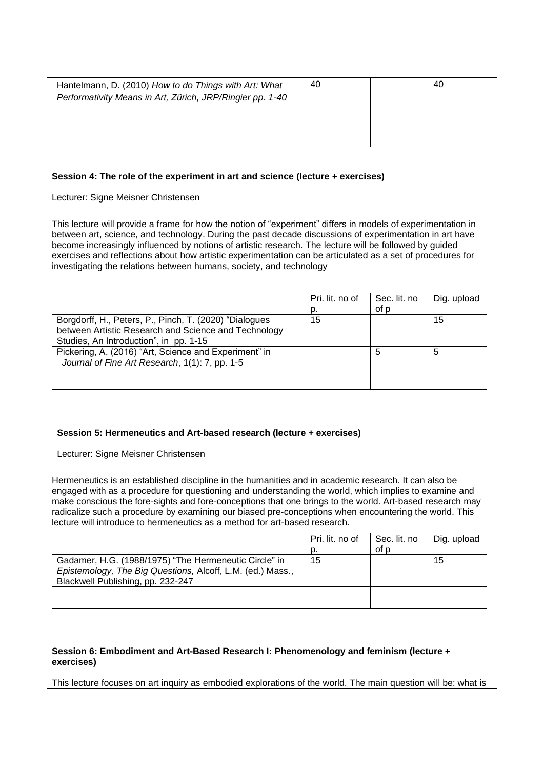| Hantelmann, D. (2010) How to do Things with Art: What<br>Performativity Means in Art, Zürich, JRP/Ringier pp. 1-40 | -40 | 40 |  |
|--------------------------------------------------------------------------------------------------------------------|-----|----|--|
|                                                                                                                    |     |    |  |
|                                                                                                                    |     |    |  |

#### **Session 4: The role of the experiment in art and science (lecture + exercises)**

Lecturer: Signe Meisner Christensen

This lecture will provide a frame for how the notion of "experiment" differs in models of experimentation in between art, science, and technology. During the past decade discussions of experimentation in art have become increasingly influenced by notions of artistic research. The lecture will be followed by guided exercises and reflections about how artistic experimentation can be articulated as a set of procedures for investigating the relations between humans, society, and technology

|                                                        | Pri. lit. no of | Sec. lit. no | Dig. upload |
|--------------------------------------------------------|-----------------|--------------|-------------|
|                                                        | D.              | of p         |             |
| Borgdorff, H., Peters, P., Pinch, T. (2020) "Dialogues | 15              |              | 15          |
| between Artistic Research and Science and Technology   |                 |              |             |
| Studies, An Introduction", in pp. 1-15                 |                 |              |             |
| Pickering, A. (2016) "Art, Science and Experiment" in  |                 |              | 5           |
| Journal of Fine Art Research, 1(1): 7, pp. 1-5         |                 |              |             |
|                                                        |                 |              |             |
|                                                        |                 |              |             |

## **Session 5: Hermeneutics and Art-based research (lecture + exercises)**

Lecturer: Signe Meisner Christensen

Hermeneutics is an established discipline in the humanities and in academic research. It can also be engaged with as a procedure for questioning and understanding the world, which implies to examine and make conscious the fore-sights and fore-conceptions that one brings to the world. Art-based research may radicalize such a procedure by examining our biased pre-conceptions when encountering the world. This lecture will introduce to hermeneutics as a method for art-based research.

|                                                                                                                                                          | Pri. lit. no of | Sec. lit. no | Dig. upload |
|----------------------------------------------------------------------------------------------------------------------------------------------------------|-----------------|--------------|-------------|
|                                                                                                                                                          | D.              | of p         |             |
| Gadamer, H.G. (1988/1975) "The Hermeneutic Circle" in<br>Epistemology, The Big Questions, Alcoff, L.M. (ed.) Mass.,<br>Blackwell Publishing, pp. 232-247 | 15              |              | 15          |
|                                                                                                                                                          |                 |              |             |

## **Session 6: Embodiment and Art-Based Research I: Phenomenology and feminism (lecture + exercises)**

This lecture focuses on art inquiry as embodied explorations of the world. The main question will be: what is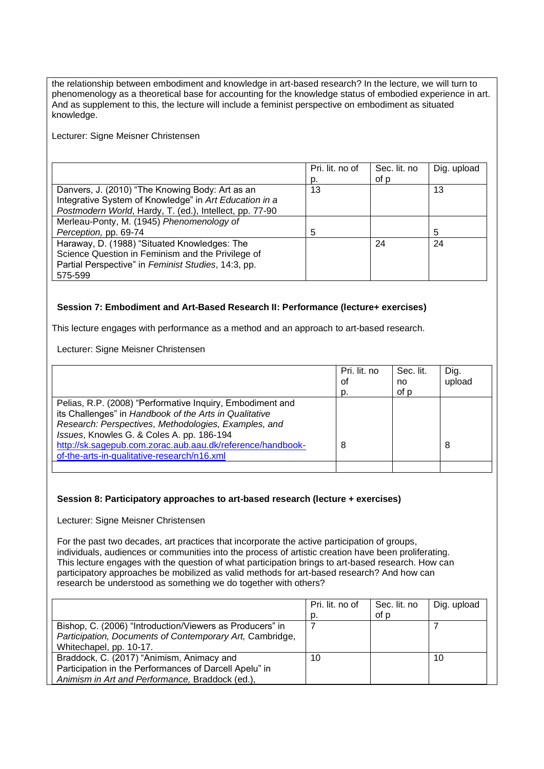the relationship between embodiment and knowledge in art-based research? In the lecture, we will turn to phenomenology as a theoretical base for accounting for the knowledge status of embodied experience in art. And as supplement to this, the lecture will include a feminist perspective on embodiment as situated knowledge.

Lecturer: Signe Meisner Christensen

|                                                         | Pri. lit. no of | Sec. lit. no | Dig. upload |
|---------------------------------------------------------|-----------------|--------------|-------------|
|                                                         | D.              | of p         |             |
| Danvers, J. (2010) "The Knowing Body: Art as an         | 13              |              | 13          |
| Integrative System of Knowledge" in Art Education in a  |                 |              |             |
| Postmodern World, Hardy, T. (ed.), Intellect, pp. 77-90 |                 |              |             |
| Merleau-Ponty, M. (1945) Phenomenology of               |                 |              |             |
| Perception, pp. 69-74                                   | 5               |              | 5           |
| Haraway, D. (1988) "Situated Knowledges: The            |                 | 24           | 24          |
| Science Question in Feminism and the Privilege of       |                 |              |             |
| Partial Perspective" in Feminist Studies, 14:3, pp.     |                 |              |             |
| 575-599                                                 |                 |              |             |

# **Session 7: Embodiment and Art-Based Research II: Performance (lecture+ exercises)**

This lecture engages with performance as a method and an approach to art-based research.

Lecturer: Signe Meisner Christensen

|                                                                                                                                                                                                                                                                                                                                       | Pri. lit. no<br>οf<br>D. | Sec. lit.<br>no<br>of p | Dig.<br>upload |
|---------------------------------------------------------------------------------------------------------------------------------------------------------------------------------------------------------------------------------------------------------------------------------------------------------------------------------------|--------------------------|-------------------------|----------------|
| Pelias, R.P. (2008) "Performative Inquiry, Embodiment and<br>its Challenges" in Handbook of the Arts in Qualitative<br>Research: Perspectives, Methodologies, Examples, and<br>Issues, Knowles G. & Coles A. pp. 186-194<br>http://sk.sagepub.com.zorac.aub.aau.dk/reference/handbook-<br>of-the-arts-in-qualitative-research/n16.xml | 8                        |                         | 8              |
|                                                                                                                                                                                                                                                                                                                                       |                          |                         |                |

#### **Session 8: Participatory approaches to art-based research (lecture + exercises)**

Lecturer: Signe Meisner Christensen

For the past two decades, art practices that incorporate the active participation of groups, individuals, audiences or communities into the process of artistic creation have been proliferating. This lecture engages with the question of what participation brings to art-based research. How can participatory approaches be mobilized as valid methods for art-based research? And how can research be understood as something we do together with others?

|                                                          | Pri. lit. no of | Sec. lit. no | Dig. upload |
|----------------------------------------------------------|-----------------|--------------|-------------|
|                                                          | D.              | of p         |             |
| Bishop, C. (2006) "Introduction/Viewers as Producers" in |                 |              |             |
| Participation, Documents of Contemporary Art, Cambridge, |                 |              |             |
| Whitechapel, pp. 10-17.                                  |                 |              |             |
| Braddock, C. (2017) "Animism, Animacy and                | 10              |              | 10          |
| Participation in the Performances of Darcell Apelu" in   |                 |              |             |
| Animism in Art and Performance, Braddock (ed.),          |                 |              |             |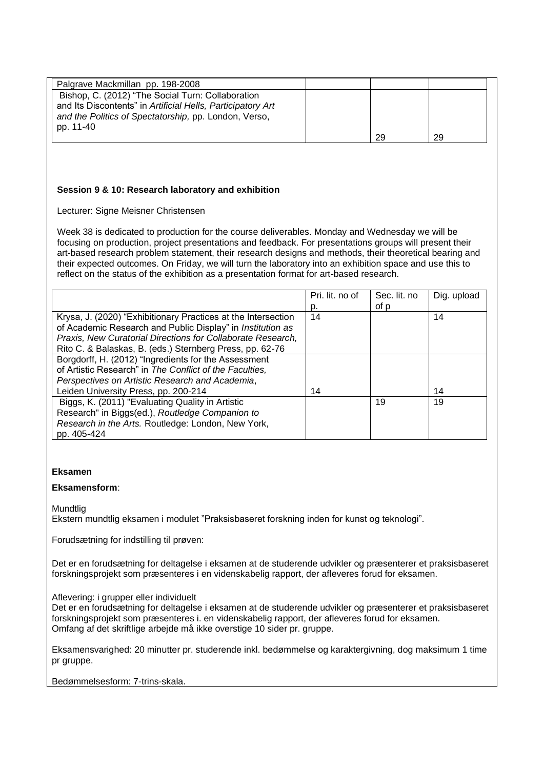| Palgrave Mackmillan pp. 198-2008                                                                                                                                                       |    |    |
|----------------------------------------------------------------------------------------------------------------------------------------------------------------------------------------|----|----|
| Bishop, C. (2012) "The Social Turn: Collaboration<br>and Its Discontents" in Artificial Hells, Participatory Art<br>and the Politics of Spectatorship, pp. London, Verso,<br>pp. 11-40 |    |    |
|                                                                                                                                                                                        | 29 | 29 |

## **Session 9 & 10: Research laboratory and exhibition**

Lecturer: Signe Meisner Christensen

Week 38 is dedicated to production for the course deliverables. Monday and Wednesday we will be focusing on production, project presentations and feedback. For presentations groups will present their art-based research problem statement, their research designs and methods, their theoretical bearing and their expected outcomes. On Friday, we will turn the laboratory into an exhibition space and use this to reflect on the status of the exhibition as a presentation format for art-based research.

|                                                               | Pri. lit. no of | Sec. lit. no | Dig. upload |
|---------------------------------------------------------------|-----------------|--------------|-------------|
|                                                               | D.              | of p         |             |
| Krysa, J. (2020) "Exhibitionary Practices at the Intersection | 14              |              | 14          |
| of Academic Research and Public Display" in Institution as    |                 |              |             |
| Praxis, New Curatorial Directions for Collaborate Research,   |                 |              |             |
| Rito C. & Balaskas, B. (eds.) Sternberg Press, pp. 62-76      |                 |              |             |
| Borgdorff, H. (2012) "Ingredients for the Assessment          |                 |              |             |
| of Artistic Research" in The Conflict of the Faculties,       |                 |              |             |
| Perspectives on Artistic Research and Academia,               |                 |              |             |
| Leiden University Press, pp. 200-214                          | 14              |              | 14          |
| Biggs, K. (2011) "Evaluating Quality in Artistic              |                 | 19           | 19          |
| Research" in Biggs(ed.), Routledge Companion to               |                 |              |             |
| Research in the Arts. Routledge: London, New York,            |                 |              |             |
| pp. 405-424                                                   |                 |              |             |

## **Eksamen**

#### **Eksamensform**:

**Mundtlig** 

Ekstern mundtlig eksamen i modulet "Praksisbaseret forskning inden for kunst og teknologi".

Forudsætning for indstilling til prøven:

Det er en forudsætning for deltagelse i eksamen at de studerende udvikler og præsenterer et praksisbaseret forskningsprojekt som præsenteres i en videnskabelig rapport, der afleveres forud for eksamen.

Aflevering: i grupper eller individuelt

Det er en forudsætning for deltagelse i eksamen at de studerende udvikler og præsenterer et praksisbaseret forskningsprojekt som præsenteres i. en videnskabelig rapport, der afleveres forud for eksamen. Omfang af det skriftlige arbejde må ikke overstige 10 sider pr. gruppe.

Eksamensvarighed: 20 minutter pr. studerende inkl. bedømmelse og karaktergivning, dog maksimum 1 time pr gruppe.

Bedømmelsesform: 7-trins-skala.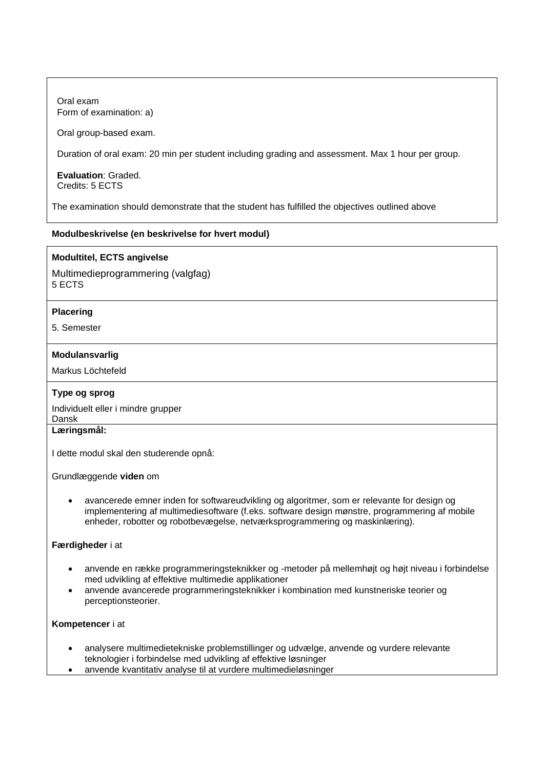Oral exam Form of examination: a)

Oral group-based exam.

Duration of oral exam: 20 min per student including grading and assessment. Max 1 hour per group.

**Evaluation**: Graded. Credits: 5 ECTS

The examination should demonstrate that the student has fulfilled the objectives outlined above

# **Modulbeskrivelse (en beskrivelse for hvert modul)**

# **Modultitel, ECTS angivelse**

Multimedieprogrammering (valgfag) 5 ECTS

# **Placering**

5. Semester

## **Modulansvarlig**

Markus Löchtefeld

# **Type og sprog**

Individuelt eller i mindre grupper Dansk

# **Læringsmål:**

I dette modul skal den studerende opnå:

Grundlæggende **viden** om

• avancerede emner inden for softwareudvikling og algoritmer, som er relevante for design og implementering af multimediesoftware (f.eks. software design mønstre, programmering af mobile enheder, robotter og robotbevægelse, netværksprogrammering og maskinlæring).

# **Færdigheder** i at

- anvende en række programmeringsteknikker og -metoder på mellemhøjt og højt niveau i forbindelse med udvikling af effektive multimedie applikationer
- anvende avancerede programmeringsteknikker i kombination med kunstneriske teorier og perceptionsteorier.

## **Kompetencer** i at

- analysere multimedietekniske problemstillinger og udvælge, anvende og vurdere relevante teknologier i forbindelse med udvikling af effektive løsninger
- anvende kvantitativ analyse til at vurdere multimedieløsninger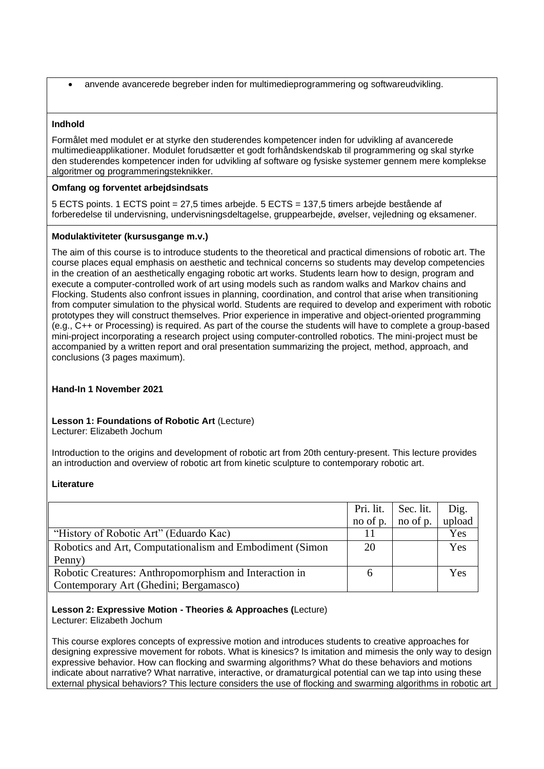• anvende avancerede begreber inden for multimedieprogrammering og softwareudvikling.

#### **Indhold**

Formålet med modulet er at styrke den studerendes kompetencer inden for udvikling af avancerede multimedieapplikationer. Modulet forudsætter et godt forhåndskendskab til programmering og skal styrke den studerendes kompetencer inden for udvikling af software og fysiske systemer gennem mere komplekse algoritmer og programmeringsteknikker.

#### **Omfang og forventet arbejdsindsats**

5 ECTS points. 1 ECTS point = 27,5 times arbejde. 5 ECTS = 137,5 timers arbejde bestående af forberedelse til undervisning, undervisningsdeltagelse, gruppearbejde, øvelser, vejledning og eksamener.

#### **Modulaktiviteter (kursusgange m.v.)**

The aim of this course is to introduce students to the theoretical and practical dimensions of robotic art. The course places equal emphasis on aesthetic and technical concerns so students may develop competencies in the creation of an aesthetically engaging robotic art works. Students learn how to design, program and execute a computer-controlled work of art using models such as random walks and Markov chains and Flocking. Students also confront issues in planning, coordination, and control that arise when transitioning from computer simulation to the physical world. Students are required to develop and experiment with robotic prototypes they will construct themselves. Prior experience in imperative and object-oriented programming (e.g., C++ or Processing) is required. As part of the course the students will have to complete a group-based mini-project incorporating a research project using computer-controlled robotics. The mini-project must be accompanied by a written report and oral presentation summarizing the project, method, approach, and conclusions (3 pages maximum).

#### **Hand-In 1 November 2021**

# **Lesson 1: Foundations of Robotic Art** (Lecture)

Lecturer: Elizabeth Jochum

Introduction to the origins and development of robotic art from 20th century-present. This lecture provides an introduction and overview of robotic art from kinetic sculpture to contemporary robotic art.

#### **Literature**

|                                                          | Pri. lit. | Sec. lit. | Dig.   |
|----------------------------------------------------------|-----------|-----------|--------|
|                                                          | no of p.  | no of p.  | upload |
| "History of Robotic Art" (Eduardo Kac)                   |           |           | Yes    |
| Robotics and Art, Computationalism and Embodiment (Simon | 20        |           | Yes    |
| Penny)                                                   |           |           |        |
| Robotic Creatures: Anthropomorphism and Interaction in   | h         |           | Yes    |
| Contemporary Art (Ghedini; Bergamasco)                   |           |           |        |

## **Lesson 2: Expressive Motion - Theories & Approaches (**Lecture)

Lecturer: Elizabeth Jochum

This course explores concepts of expressive motion and introduces students to creative approaches for designing expressive movement for robots. What is kinesics? Is imitation and mimesis the only way to design expressive behavior. How can flocking and swarming algorithms? What do these behaviors and motions indicate about narrative? What narrative, interactive, or dramaturgical potential can we tap into using these external physical behaviors? This lecture considers the use of flocking and swarming algorithms in robotic art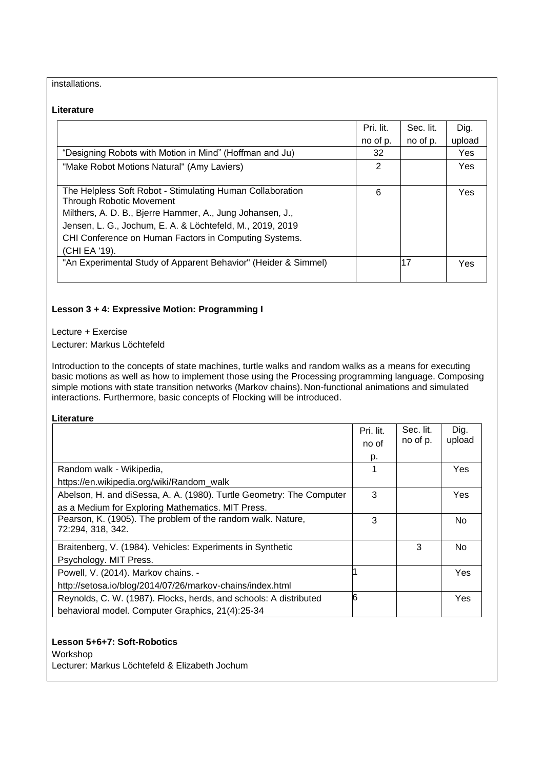# installations.

#### **Literature**

|                                                                | Pri. lit. | Sec. lit. | Dig.       |
|----------------------------------------------------------------|-----------|-----------|------------|
|                                                                | no of p.  | no of p.  | upload     |
| "Designing Robots with Motion in Mind" (Hoffman and Ju)        | 32        |           | Yes        |
| "Make Robot Motions Natural" (Amy Laviers)                     | 2         |           | <b>Yes</b> |
|                                                                |           |           |            |
| The Helpless Soft Robot - Stimulating Human Collaboration      | 6         |           | <b>Yes</b> |
| Through Robotic Movement                                       |           |           |            |
| Milthers, A. D. B., Bjerre Hammer, A., Jung Johansen, J.,      |           |           |            |
| Jensen, L. G., Jochum, E. A. & Löchtefeld, M., 2019, 2019      |           |           |            |
| CHI Conference on Human Factors in Computing Systems.          |           |           |            |
| (CHI EA '19).                                                  |           |           |            |
| "An Experimental Study of Apparent Behavior" (Heider & Simmel) |           | 17        | Yes        |
|                                                                |           |           |            |

# **Lesson 3 + 4: Expressive Motion: Programming I**

Lecture + Exercise

Lecturer: Markus Löchtefeld

Introduction to the concepts of state machines, turtle walks and random walks as a means for executing basic motions as well as how to implement those using the Processing programming language. Composing simple motions with state transition networks (Markov chains). Non-functional animations and simulated interactions. Furthermore, basic concepts of Flocking will be introduced.

**Literature**

|                                                                      | Pri. lit. | Sec. lit. | Dig.       |
|----------------------------------------------------------------------|-----------|-----------|------------|
|                                                                      | no of     | no of p.  | upload     |
|                                                                      | p.        |           |            |
| Random walk - Wikipedia,                                             | 1         |           | <b>Yes</b> |
| https://en.wikipedia.org/wiki/Random_walk                            |           |           |            |
| Abelson, H. and diSessa, A. A. (1980). Turtle Geometry: The Computer | 3         |           | <b>Yes</b> |
| as a Medium for Exploring Mathematics. MIT Press.                    |           |           |            |
| Pearson, K. (1905). The problem of the random walk. Nature,          | 3         |           | No.        |
| 72:294, 318, 342.                                                    |           |           |            |
| Braitenberg, V. (1984). Vehicles: Experiments in Synthetic           |           | 3         | No.        |
| Psychology. MIT Press.                                               |           |           |            |
| Powell, V. (2014). Markov chains. -                                  |           |           | Yes        |
| http://setosa.io/blog/2014/07/26/markov-chains/index.html            |           |           |            |
| Reynolds, C. W. (1987). Flocks, herds, and schools: A distributed    | 6         |           | <b>Yes</b> |
| behavioral model. Computer Graphics, 21(4):25-34                     |           |           |            |

# **Lesson 5+6+7: Soft-Robotics**

Workshop

Lecturer: Markus Löchtefeld & Elizabeth Jochum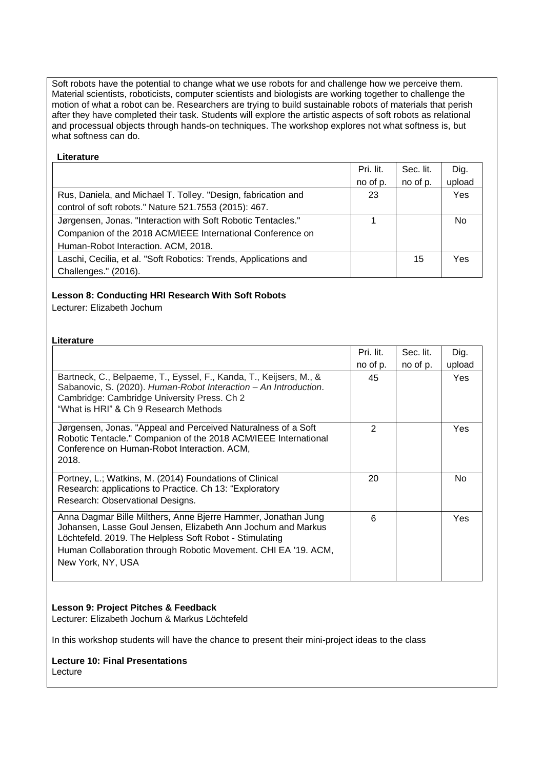Soft robots have the potential to change what we use robots for and challenge how we perceive them. Material scientists, roboticists, computer scientists and biologists are working together to challenge the motion of what a robot can be. Researchers are trying to build sustainable robots of materials that perish after they have completed their task. Students will explore the artistic aspects of soft robots as relational and processual objects through hands-on techniques. The workshop explores not what softness is, but what softness can do.

## **Literature**

|                                                                  | Pri. lit. | Sec. lit. | Dig.           |
|------------------------------------------------------------------|-----------|-----------|----------------|
|                                                                  | no of p.  | no of p.  | upload         |
| Rus, Daniela, and Michael T. Tolley. "Design, fabrication and    | 23        |           | Yes            |
| control of soft robots." Nature 521.7553 (2015): 467.            |           |           |                |
| Jørgensen, Jonas. "Interaction with Soft Robotic Tentacles."     |           |           | N <sub>0</sub> |
| Companion of the 2018 ACM/IEEE International Conference on       |           |           |                |
| Human-Robot Interaction. ACM, 2018.                              |           |           |                |
| Laschi, Cecilia, et al. "Soft Robotics: Trends, Applications and |           | 15        | Yes            |
| Challenges." (2016).                                             |           |           |                |

# **Lesson 8: Conducting HRI Research With Soft Robots**

Lecturer: Elizabeth Jochum

## **Literature**

|                                                                                                                                                                                                                                                                                 | Pri. lit.      | Sec. lit. | Dig.                 |
|---------------------------------------------------------------------------------------------------------------------------------------------------------------------------------------------------------------------------------------------------------------------------------|----------------|-----------|----------------------|
| Bartneck, C., Belpaeme, T., Eyssel, F., Kanda, T., Keijsers, M., &<br>Sabanovic, S. (2020). Human-Robot Interaction - An Introduction.<br>Cambridge: Cambridge University Press. Ch 2<br>"What is HRI" & Ch 9 Research Methods                                                  | no of p.<br>45 | no of p.  | upload<br><b>Yes</b> |
| Jørgensen, Jonas. "Appeal and Perceived Naturalness of a Soft<br>Robotic Tentacle." Companion of the 2018 ACM/IEEE International<br>Conference on Human-Robot Interaction. ACM,<br>2018.                                                                                        | 2              |           | <b>Yes</b>           |
| Portney, L.; Watkins, M. (2014) Foundations of Clinical<br>Research: applications to Practice. Ch 13: "Exploratory<br>Research: Observational Designs.                                                                                                                          | 20             |           | No                   |
| Anna Dagmar Bille Milthers, Anne Bjerre Hammer, Jonathan Jung<br>Johansen, Lasse Goul Jensen, Elizabeth Ann Jochum and Markus<br>Löchtefeld. 2019. The Helpless Soft Robot - Stimulating<br>Human Collaboration through Robotic Movement. CHI EA '19. ACM,<br>New York, NY, USA | 6              |           | <b>Yes</b>           |

# **Lesson 9: Project Pitches & Feedback**

Lecturer: Elizabeth Jochum & Markus Löchtefeld

In this workshop students will have the chance to present their mini-project ideas to the class

#### **Lecture 10: Final Presentations** Lecture